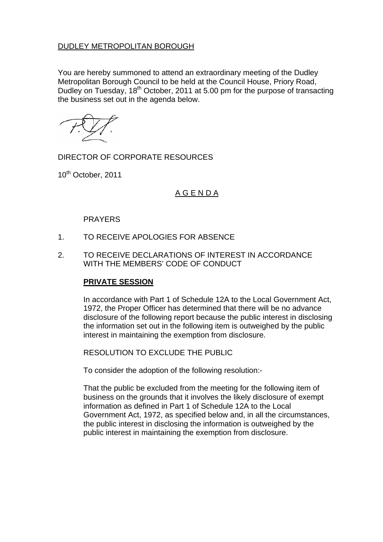## DUDLEY METROPOLITAN BOROUGH

You are hereby summoned to attend an extraordinary meeting of the Dudley Metropolitan Borough Council to be held at the Council House, Priory Road, Dudley on Tuesday, 18<sup>th</sup> October, 2011 at 5.00 pm for the purpose of transacting the business set out in the agenda below.

DIRECTOR OF CORPORATE RESOURCES

10<sup>th</sup> October, 2011

## A G E N D A

## PRAYERS

- 1. TO RECEIVE APOLOGIES FOR ABSENCE
- 2. TO RECEIVE DECLARATIONS OF INTEREST IN ACCORDANCE WITH THE MEMBERS' CODE OF CONDUCT

## **PRIVATE SESSION**

In accordance with Part 1 of Schedule 12A to the Local Government Act, 1972, the Proper Officer has determined that there will be no advance disclosure of the following report because the public interest in disclosing the information set out in the following item is outweighed by the public interest in maintaining the exemption from disclosure.

RESOLUTION TO EXCLUDE THE PUBLIC

To consider the adoption of the following resolution:-

That the public be excluded from the meeting for the following item of business on the grounds that it involves the likely disclosure of exempt information as defined in Part 1 of Schedule 12A to the Local Government Act, 1972, as specified below and, in all the circumstances, the public interest in disclosing the information is outweighed by the public interest in maintaining the exemption from disclosure.